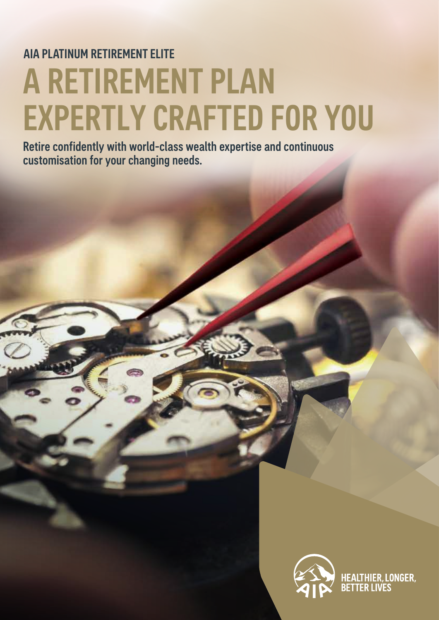# AIA PLATINUM RETIREMENT ELITE A RETIREMENT PLAN EXPERTLY CRAFTED FOR YOU

Retire confidently with world-class wealth expertise and continuous customisation for your changing needs.

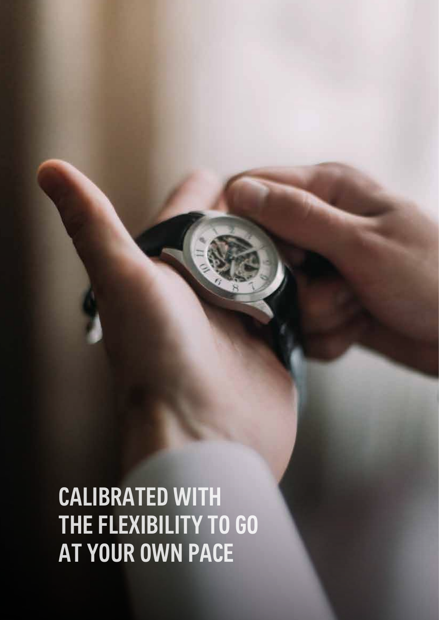CALIBRATED WITH THE FLEXIBILITY TO GO AT YOUR OWN PACE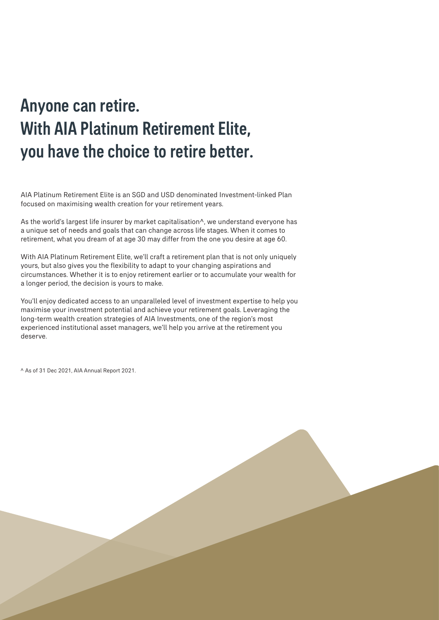## Anyone can retire. With AIA Platinum Retirement Elite, you have the choice to retire better.

AIA Platinum Retirement Elite is an SGD and USD denominated Investment-linked Plan focused on maximising wealth creation for your retirement years.

As the world's largest life insurer by market capitalisation^, we understand everyone has a unique set of needs and goals that can change across life stages. When it comes to retirement, what you dream of at age 30 may differ from the one you desire at age 60.

With AIA Platinum Retirement Elite, we'll craft a retirement plan that is not only uniquely yours, but also gives you the flexibility to adapt to your changing aspirations and circumstances. Whether it is to enjoy retirement earlier or to accumulate your wealth for a longer period, the decision is yours to make.

You'll enjoy dedicated access to an unparalleled level of investment expertise to help you maximise your investment potential and achieve your retirement goals. Leveraging the long-term wealth creation strategies of AIA Investments, one of the region's most experienced institutional asset managers, we'll help you arrive at the retirement you deserve.

^ As of 31 Dec 2021, AIA Annual Report 2021.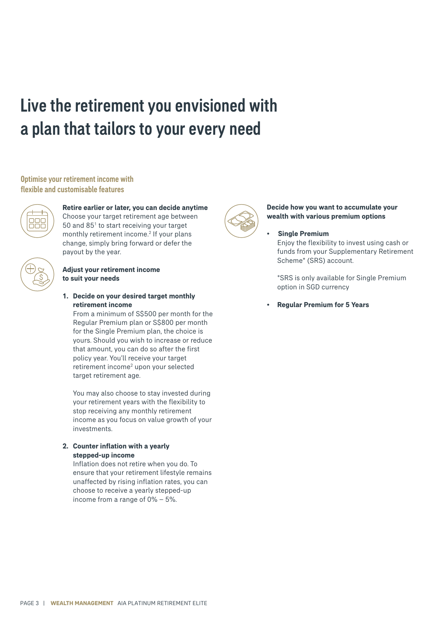# Live the retirement you envisioned with a plan that tailors to your every need

#### Optimise your retirement income with flexible and customisable features



#### **Retire earlier or later, you can decide anytime** Choose your target retirement age between

50 and 85<sup>1</sup> to start receiving your target monthly retirement income.<sup>2</sup> If your plans change, simply bring forward or defer the payout by the year.

#### **Adjust your retirement income to suit your needs**

**1. Decide on your desired target monthly retirement income**

 From a minimum of S\$500 per month for the Regular Premium plan or S\$800 per month for the Single Premium plan, the choice is yours. Should you wish to increase or reduce that amount, you can do so after the first policy year. You'll receive your target retirement income<sup>2</sup> upon your selected target retirement age.

 You may also choose to stay invested during your retirement years with the flexibility to stop receiving any monthly retirement income as you focus on value growth of your investments.

#### **2. Counter inflation with a yearly stepped-up income**

 Inflation does not retire when you do. To ensure that your retirement lifestyle remains unaffected by rising inflation rates, you can choose to receive a yearly stepped-up income from a range of 0% – 5%.



#### **Decide how you want to accumulate your wealth with various premium options**

#### **• Single Premium**

 Enjoy the flexibility to invest using cash or funds from your Supplementary Retirement Scheme\* (SRS) account.

\*SRS is only available for Single Premium option in SGD currency

**• Regular Premium for 5 Years**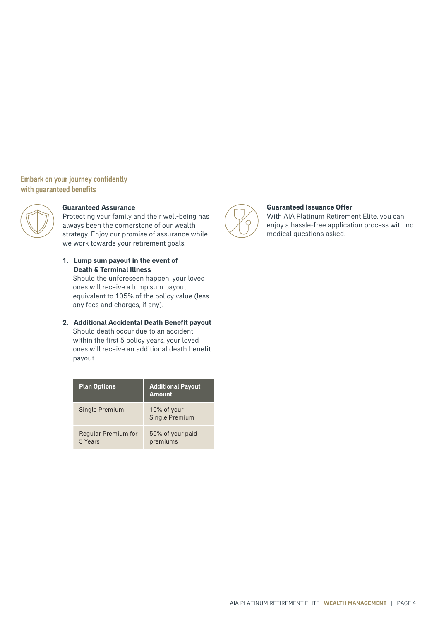#### Embark on your journey confidently with guaranteed benefits



#### **Guaranteed Assurance**

Protecting your family and their well-being has always been the cornerstone of our wealth strategy. Enjoy our promise of assurance while we work towards your retirement goals.

**1. Lump sum payout in the event of Death & Terminal Illness**

 Should the unforeseen happen, your loved ones will receive a lump sum payout equivalent to 105% of the policy value (less any fees and charges, if any).

**2. Additional Accidental Death Benefit payout**

 Should death occur due to an accident within the first 5 policy years, your loved ones will receive an additional death benefit payout.

| <b>Plan Options</b>            | <b>Additional Payout</b><br><b>Amount</b> |
|--------------------------------|-------------------------------------------|
| Single Premium                 | 10% of your<br>Single Premium             |
| Regular Premium for<br>5 Years | 50% of your paid<br>premiums              |



#### **Guaranteed Issuance Offer**

With AIA Platinum Retirement Elite, you can enjoy a hassle-free application process with no medical questions asked.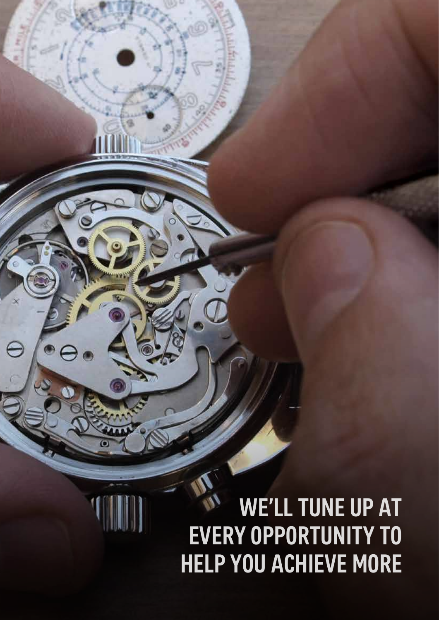# WE'LL TUNE UP AT EVERY OPPORTUNITY TO HELP YOU ACHIEVE MORE

ЛC

e

Ô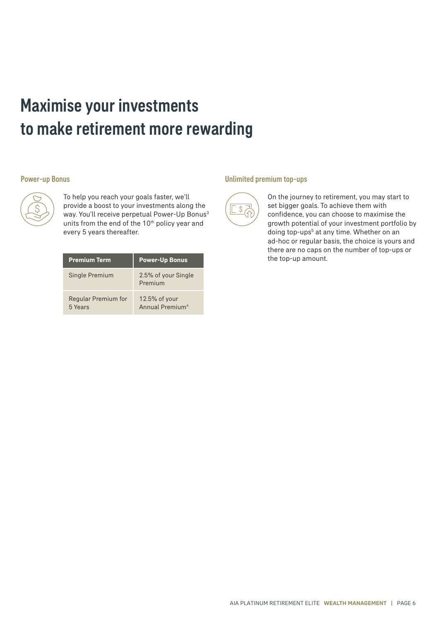## Maximise your investments to make retirement more rewarding

#### Power-up Bonus



To help you reach your goals faster, we'll provide a boost to your investments along the way. You'll receive perpetual Power-Up Bonus<sup>3</sup> units from the end of the 10<sup>th</sup> policy year and every 5 years thereafter.

| <b>Premium Term</b>            | <b>Power-Up Bonus</b>                        |
|--------------------------------|----------------------------------------------|
| Single Premium                 | 2.5% of your Single<br>Premium               |
| Regular Premium for<br>5 Years | 12.5% of your<br>Annual Premium <sup>4</sup> |

#### Unlimited premium top-ups



On the journey to retirement, you may start to set bigger goals. To achieve them with confidence, you can choose to maximise the growth potential of your investment portfolio by doing top-ups<sup>5</sup> at any time. Whether on an ad-hoc or regular basis, the choice is yours and there are no caps on the number of top-ups or the top-up amount.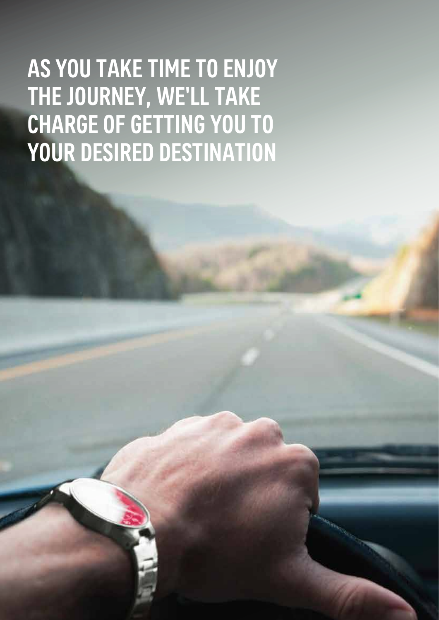# AS YOU TAKE TIME TO ENJOY THE JOURNEY, WE'LL TAKE CHARGE OF GETTING YOU TO YOUR DESIRED DESTINATION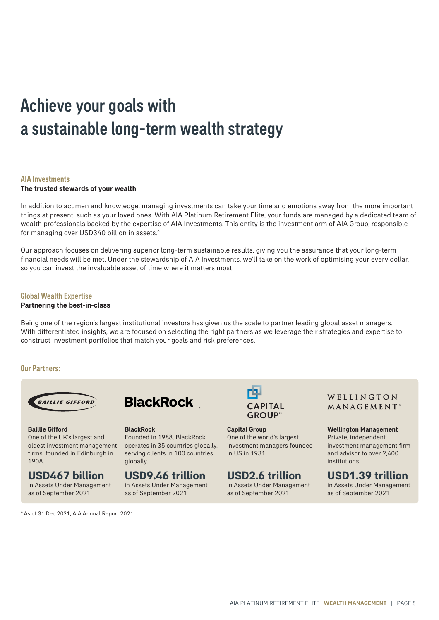## Achieve your goals with a sustainable long-term wealth strategy

#### AIA Investments

#### **The trusted stewards of your wealth**

In addition to acumen and knowledge, managing investments can take your time and emotions away from the more important things at present, such as your loved ones. With AIA Platinum Retirement Elite, your funds are managed by a dedicated team of wealth professionals backed by the expertise of AIA Investments. This entity is the investment arm of AIA Group, responsible for managing over USD340 billion in assets.^

Our approach focuses on delivering superior long-term sustainable results, giving you the assurance that your long-term financial needs will be met. Under the stewardship of AIA Investments, we'll take on the work of optimising your every dollar, so you can invest the invaluable asset of time where it matters most.

#### Global Wealth Expertise

#### **Partnering the best-in-class**

Being one of the region's largest institutional investors has given us the scale to partner leading global asset managers. With differentiated insights, we are focused on selecting the right partners as we leverage their strategies and expertise to construct investment portfolios that match your goals and risk preferences.

#### Our Partners:



**Baillie Gifford** One of the UK's largest and oldest investment management firms, founded in Edinburgh in 1908.

### **USD467 billion**

in Assets Under Management as of September 2021

^ As of 31 Dec 2021, AIA Annual Report 2021.



### **BlackRock**

Founded in 1988, BlackRock operates in 35 countries globally, serving clients in 100 countries globally.

### **USD9.46 trillion**

in Assets Under Management as of September 2021



**Capital Group** One of the world's largest investment managers founded in US in 1931.

### **USD2.6 trillion**

in Assets Under Management as of September 2021

WELLINGTON MANAGEMENT<sup>®</sup>

**Wellington Management** Private, independent

investment management firm and advisor to over 2,400 institutions.

### **USD1.39 trillion**

in Assets Under Management as of September 2021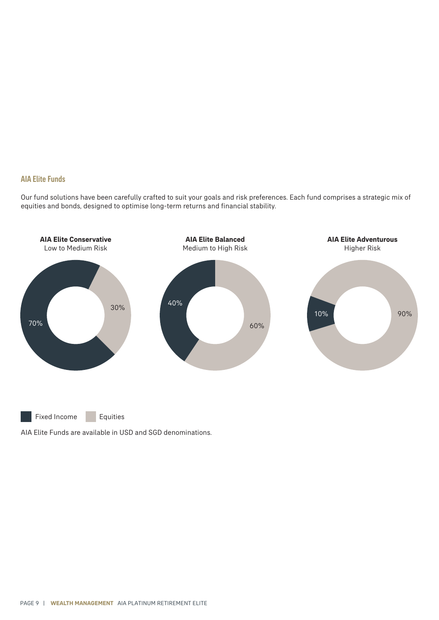#### AIA Elite Funds

Our fund solutions have been carefully crafted to suit your goals and risk preferences. Each fund comprises a strategic mix of equities and bonds, designed to optimise long-term returns and financial stability.



Fixed Income Equities

AIA Elite Funds are available in USD and SGD denominations.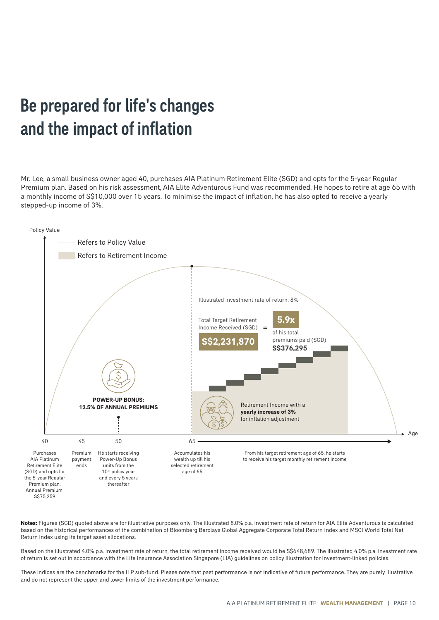### Be prepared for life's changes and the impact of inflation

Mr. Lee, a small business owner aged 40, purchases AIA Platinum Retirement Elite (SGD) and opts for the 5-year Regular Premium plan. Based on his risk assessment, AIA Elite Adventurous Fund was recommended. He hopes to retire at age 65 with a monthly income of S\$10,000 over 15 years. To minimise the impact of inflation, he has also opted to receive a yearly stepped-up income of 3%.



**Notes:** Figures (SGD) quoted above are for illustrative purposes only. The illustrated 8.0% p.a. investment rate of return for AIA Elite Adventurous is calculated based on the historical performances of the combination of Bloomberg Barclays Global Aggregate Corporate Total Return Index and MSCI World Total Net Return Index using its target asset allocations.

Based on the illustrated 4.0% p.a. investment rate of return, the total retirement income received would be S\$648,689. The illustrated 4.0% p.a. investment rate of return is set out in accordance with the Life Insurance Association Singapore (LIA) guidelines on policy illustration for Investment-linked policies.

These indices are the benchmarks for the ILP sub-fund. Please note that past performance is not indicative of future performance. They are purely illustrative and do not represent the upper and lower limits of the investment performance.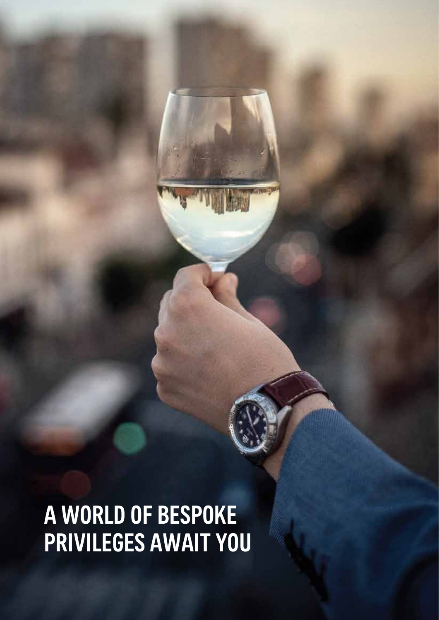A WORLD OF BESPOKE PRIVILEGES AWAIT YOU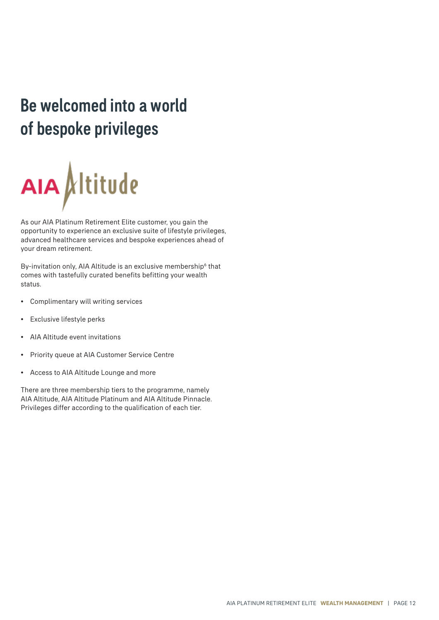# Be welcomed into a world of bespoke privileges



As our AIA Platinum Retirement Elite customer, you gain the opportunity to experience an exclusive suite of lifestyle privileges, advanced healthcare services and bespoke experiences ahead of your dream retirement.

By-invitation only, AIA Altitude is an exclusive membership<sup>6</sup> that comes with tastefully curated benefits befitting your wealth status.

- Complimentary will writing services
- Exclusive lifestyle perks
- AIA Altitude event invitations
- Priority queue at AIA Customer Service Centre
- Access to AIA Altitude Lounge and more

There are three membership tiers to the programme, namely AIA Altitude, AIA Altitude Platinum and AIA Altitude Pinnacle. Privileges differ according to the qualification of each tier.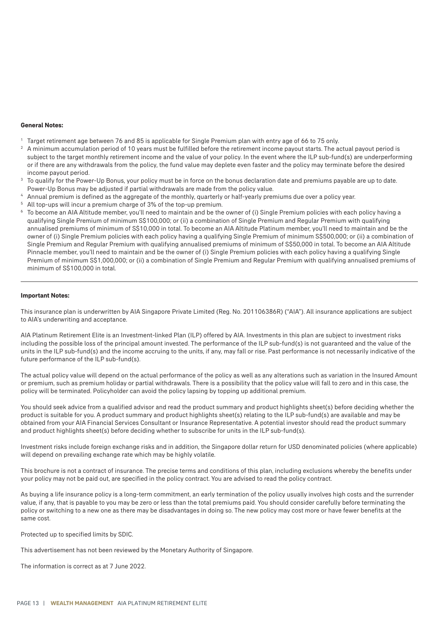#### **General Notes:**

- 1 Target retirement age between 76 and 85 is applicable for Single Premium plan with entry age of 66 to 75 only.
- 2 A minimum accumulation period of 10 years must be fulfilled before the retirement income payout starts. The actual payout period is subject to the target monthly retirement income and the value of your policy. In the event where the ILP sub-fund(s) are underperforming or if there are any withdrawals from the policy, the fund value may deplete even faster and the policy may terminate before the desired income payout period.
- $3$  To qualify for the Power-Up Bonus, your policy must be in force on the bonus declaration date and premiums payable are up to date. Power-Up Bonus may be adjusted if partial withdrawals are made from the policy value.
- 4 Annual premium is defined as the aggregate of the monthly, quarterly or half-yearly premiums due over a policy year.
- <sup>5</sup> All top-ups will incur a premium charge of 3% of the top-up premium.
- $^{\circ}\,$  To become an AIA Altitude member, you'll need to maintain and be the owner of (i) Single Premium policies with each policy having a qualifying Single Premium of minimum S\$100,000; or (ii) a combination of Single Premium and Regular Premium with qualifying annualised premiums of minimum of S\$10,000 in total. To become an AIA Altitude Platinum member, you'll need to maintain and be the owner of (i) Single Premium policies with each policy having a qualifying Single Premium of minimum S\$500,000; or (ii) a combination of Single Premium and Regular Premium with qualifying annualised premiums of minimum of S\$50,000 in total. To become an AIA Altitude Pinnacle member, you'll need to maintain and be the owner of (i) Single Premium policies with each policy having a qualifying Single Premium of minimum S\$1,000,000; or (ii) a combination of Single Premium and Regular Premium with qualifying annualised premiums of minimum of S\$100,000 in total.

#### **Important Notes:**

This insurance plan is underwritten by AIA Singapore Private Limited (Reg. No. 201106386R) ("AIA"). All insurance applications are subject to AIA's underwriting and acceptance.

AIA Platinum Retirement Elite is an Investment-linked Plan (ILP) offered by AIA. Investments in this plan are subject to investment risks including the possible loss of the principal amount invested. The performance of the ILP sub-fund(s) is not guaranteed and the value of the units in the ILP sub-fund(s) and the income accruing to the units, if any, may fall or rise. Past performance is not necessarily indicative of the future performance of the ILP sub-fund(s).

The actual policy value will depend on the actual performance of the policy as well as any alterations such as variation in the Insured Amount or premium, such as premium holiday or partial withdrawals. There is a possibility that the policy value will fall to zero and in this case, the policy will be terminated. Policyholder can avoid the policy lapsing by topping up additional premium.

You should seek advice from a qualified advisor and read the product summary and product highlights sheet(s) before deciding whether the product is suitable for you. A product summary and product highlights sheet(s) relating to the ILP sub-fund(s) are available and may be obtained from your AIA Financial Services Consultant or Insurance Representative. A potential investor should read the product summary and product highlights sheet(s) before deciding whether to subscribe for units in the ILP sub-fund(s).

Investment risks include foreign exchange risks and in addition, the Singapore dollar return for USD denominated policies (where applicable) will depend on prevailing exchange rate which may be highly volatile.

This brochure is not a contract of insurance. The precise terms and conditions of this plan, including exclusions whereby the benefits under your policy may not be paid out, are specified in the policy contract. You are advised to read the policy contract.

As buying a life insurance policy is a long-term commitment, an early termination of the policy usually involves high costs and the surrender value, if any, that is payable to you may be zero or less than the total premiums paid. You should consider carefully before terminating the policy or switching to a new one as there may be disadvantages in doing so. The new policy may cost more or have fewer benefits at the same cost.

Protected up to specified limits by SDIC.

This advertisement has not been reviewed by the Monetary Authority of Singapore.

The information is correct as at 7 June 2022.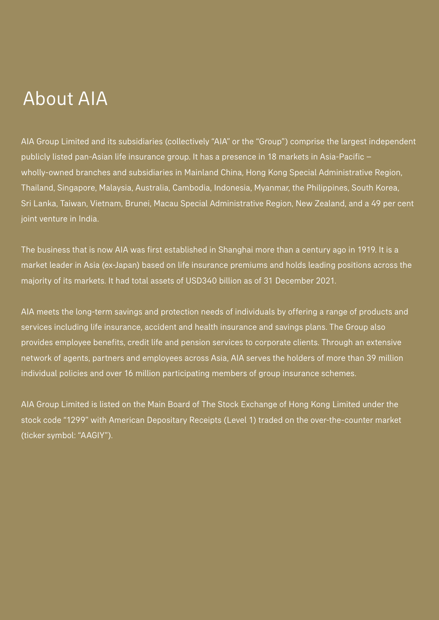## About AIA

AIA Group Limited and its subsidiaries (collectively "AIA" or the "Group") comprise the largest independent publicly listed pan-Asian life insurance group. It has a presence in 18 markets in Asia-Pacific – wholly-owned branches and subsidiaries in Mainland China, Hong Kong Special Administrative Region, Thailand, Singapore, Malaysia, Australia, Cambodia, Indonesia, Myanmar, the Philippines, South Korea, Sri Lanka, Taiwan, Vietnam, Brunei, Macau Special Administrative Region, New Zealand, and a 49 per cent joint venture in India.

The business that is now AIA was first established in Shanghai more than a century ago in 1919. It is a market leader in Asia (ex-Japan) based on life insurance premiums and holds leading positions across the majority of its markets. It had total assets of USD340 billion as of 31 December 2021.

AIA meets the long-term savings and protection needs of individuals by offering a range of products and services including life insurance, accident and health insurance and savings plans. The Group also provides employee benefits, credit life and pension services to corporate clients. Through an extensive network of agents, partners and employees across Asia, AIA serves the holders of more than 39 million individual policies and over 16 million participating members of group insurance schemes.

AIA Group Limited is listed on the Main Board of The Stock Exchange of Hong Kong Limited under the stock code "1299" with American Depositary Receipts (Level 1) traded on the over-the-counter market (ticker symbol: "AAGIY").